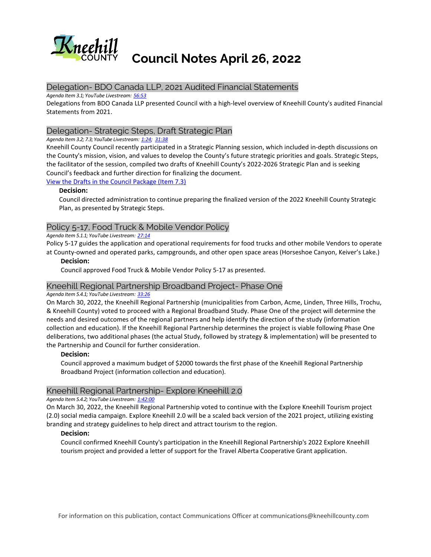

# **Council Notes April 26, 2022**

## Delegation- BDO Canada LLP, 2021 Audited Financial Statements

*Agenda Item 3.1; YouTube Livestream: [56:53](https://www.youtube.com/watch?v=xUYKxUtOcY4&t=3413s)*

Delegations from BDO Canada LLP presented Council with a high-level overview of Kneehill County's audited Financial Statements from 2021.

## Delegation- Strategic Steps, Draft Strategic Plan

*Agenda Item 3.2; 7.3; YouTube Livestream: [1:24;](https://www.youtube.com/watch?v=ztNTF1T0rVI&t=84s) [31:38](https://www.youtube.com/watch?v=ztNTF1T0rVI&t=1898s)*

Kneehill County Council recently participated in a Strategic Planning session, which included in-depth discussions on the County's mission, vision, and values to develop the County's future strategic priorities and goals. Strategic Steps, the facilitator of the session, compiled two drafts of Kneehill County's 2022-2026 Strategic Plan and is seeking Council's feedback and further direction for finalizing the document.

[View the Drafts in the Council Package \(Item 7.3\)](https://kneehillcounty.com/AgendaCenter/ViewFile/Agenda/_04262022-101?html=true)

#### **Decision:**

Council directed administration to continue preparing the finalized version of the 2022 Kneehill County Strategic Plan, as presented by Strategic Steps.

## Policy 5-17, Food Truck & Mobile Vendor Policy

#### *Agenda Item 5.1.1; YouTube Livestream: [27:14](https://www.youtube.com/watch?v=xUYKxUtOcY4&t=1634s)*

Policy 5-17 guides the application and operational requirements for food trucks and other mobile Vendors to operate at County-owned and operated parks, campgrounds, and other open space areas (Horseshoe Canyon, Keiver's Lake.)

#### **Decision:**

Council approved Food Truck & Mobile Vendor Policy 5-17 as presented.

## Kneehill Regional Partnership Broadband Project- Phase One

#### *Agenda Item 5.4.1; YouTube Livestream: [33:26](https://www.youtube.com/watch?v=xUYKxUtOcY4&t=2006s)*

On March 30, 2022, the Kneehill Regional Partnership (municipalities from Carbon, Acme, Linden, Three Hills, Trochu, & Kneehill County) voted to proceed with a Regional Broadband Study. Phase One of the project will determine the needs and desired outcomes of the regional partners and help identify the direction of the study (information collection and education). If the Kneehill Regional Partnership determines the project is viable following Phase One deliberations, two additional phases (the actual Study, followed by strategy & implementation) will be presented to the Partnership and Council for further consideration.

## **Decision:**

Council approved a maximum budget of \$2000 towards the first phase of the Kneehill Regional Partnership Broadband Project (information collection and education).

# Kneehill Regional Partnership- Explore Kneehill 2.0

#### *Agenda Item 5.4.2; YouTube Livestream: [1:42:00](https://www.youtube.com/watch?v=xUYKxUtOcY4&t=6120s)*

On March 30, 2022, the Kneehill Regional Partnership voted to continue with the Explore Kneehill Tourism project (2.0) social media campaign. Explore Kneehill 2.0 will be a scaled back version of the 2021 project, utilizing existing branding and strategy guidelines to help direct and attract tourism to the region.

## **Decision:**

Council confirmed Kneehill County's participation in the Kneehill Regional Partnership's 2022 Explore Kneehill tourism project and provided a letter of support for the Travel Alberta Cooperative Grant application.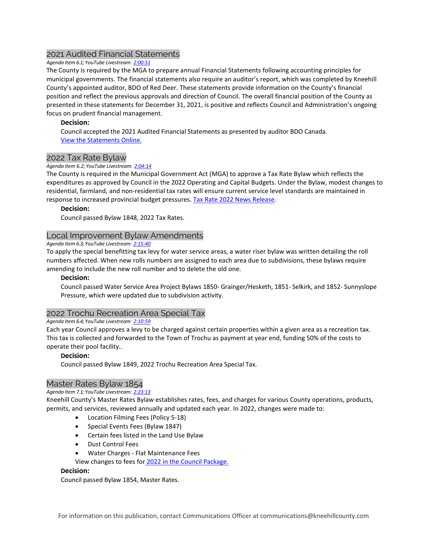# 2021 Audited Financial Statements

#### *Agenda Item 6.1; YouTube Livestream: [2:00:51](https://www.youtube.com/watch?v=xUYKxUtOcY4&t=7251s)*

The County is required by the MGA to prepare annual Financial Statements following accounting principles for municipal governments. The financial statements also require an auditor's report, which was completed by Kneehill County's appointed auditor, BDO of Red Deer. These statements provide information on the County's financial position and reflect the previous approvals and direction of Council. The overall financial position of the County as presented in these statements for December 31, 2021, is positive and reflects Council and Administration's ongoing focus on prudent financial management.

## **Decision:**

Council accepted the 2021 Audited Financial Statements as presented by auditor BDO Canada. [View the Statements Online.](https://kneehillcounty.com/DocumentCenter/View/6075/2021-Audit-Finanical-Statements?bidId=) 

## 2022 Tax Rate Bylaw

#### *Agenda Item 6.2; YouTube Livestream: [2:04:14](https://www.youtube.com/watch?v=xUYKxUtOcY4&t=7454s)*

The County is required in the Municipal Government Act (MGA) to approve a Tax Rate Bylaw which reflects the expenditures as approved by Council in the 2022 Operating and Capital Budgets. Under the Bylaw, modest changes to residential, farmland, and non-residential tax rates will ensure current service level standards are maintained in response to increased provincial budget pressures. Tax Rate 2022 News Release.

#### **Decision:**

Council passed Bylaw 1848, 2022 Tax Rates.

## Local Improvement Bylaw Amendments

*Agenda Item 6.3; YouTube Livestream: [2:15:40](https://www.youtube.com/watch?v=xUYKxUtOcY4&t=8140s)*

To apply the special benefitting tax levy for water service areas, a water riser bylaw was written detailing the roll numbers affected. When new rolls numbers are assigned to each area due to subdivisions, these bylaws require amending to include the new roll number and to delete the old one.

#### **Decision:**

Council passed Water Service Area Project Bylaws 1850- Grainger/Hesketh, 1851- Selkirk, and 1852- Sunnyslope Pressure, which were updated due to subdivision activity.

## 2022 Trochu Recreation Area Special Tax

#### *Agenda Item 6.4; YouTube Livestream: [2:10:59](https://www.youtube.com/watch?v=xUYKxUtOcY4&t=7859s)*

Each year Council approves a levy to be charged against certain properties within a given area as a recreation tax. This tax is collected and forwarded to the Town of Trochu as payment at year end, funding 50% of the costs to operate their pool facility..

## **Decision:**

Council passed Bylaw 1849, 2022 Trochu Recreation Area Special Tax.

## Master Rates Bylaw 1854

## *Agenda Item 7.1; YouTube Livestream: [2:23:13](https://www.youtube.com/watch?v=xUYKxUtOcY4&t=8593s)*

Kneehill County's Master Rates Bylaw establishes rates, fees, and charges for various County operations, products, permits, and services, reviewed annually and updated each year. In 2022, changes were made to:

- Location Filming Fees (Policy 5-18)
- Special Events Fees (Bylaw 1847)
- Certain fees listed in the Land Use Bylaw
- Dust Control Fees
- Water Charges Flat Maintenance Fees

View changes to fees for [2022 in the Council Package.](https://kneehillcounty.com/AgendaCenter/ViewFile/Item/2036?fileID=21426)

#### **Decision:**

Council passed Bylaw 1854, Master Rates.